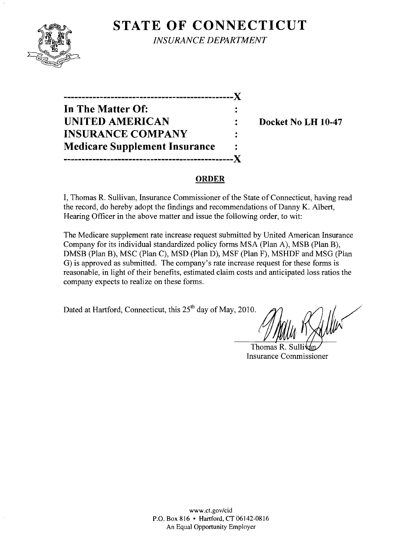# **STATE OF CONNECTICUT**



*INSURANCE DEPARTMENT* 

**-----------------------------------------------)( In The Matter Of: UNITED AMERICAN** : Docket No LH 10-47 **INSURANCE COMPANY Medicare Supplement Insurance -----------------------------------------------)(** 

### **ORDER**

I, Thomas R. Sullivan, Insurance Commissioner of the State of Connecticut, having read the record, do hereby adopt the findings and recommendations of Danny K. Albert, Hearing Officer in the above matter and issue the following order, to wit:

The Medicare supplement rate increase request submitted by United American Insurance Company for its individual standardized policy forms MSA (Plan A), MSB (Plan B), DMSB (Plan B), MSC (Plan C), MSD (Plan D), MSF (Plan F), MSHDF and MSG (Plan G) is approved as submitted. The company's rate increase request for these forms is reasonable, in light of their benefits, estimated claim costs and anticipated loss ratios the company expects to realize on these forms.

Dated at Hartford, Connecticut, this  $25<sup>th</sup>$  day of May, 2010.

Thomas R. Sulli Insurance Commissioner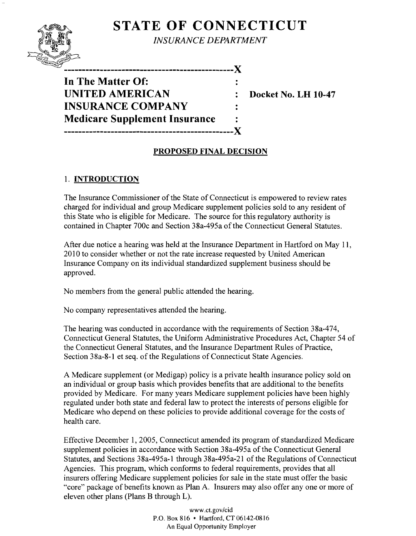# **STATE OF CONNECTICUT**



*INSURANCE DEPARTMENT* 

**-----------------------------------------------)( In The Matter Of: UNITED AMERICAN : Docket No. LH 10-47 INSURANCE COMPANY Medicare Supplement Insurance -----------------------------------------------)(** 

## **PROPOSED FINAL DECISION**

### 1. **INTRODUCTION**

The Insurance Commissioner of the State of Connecticut is empowered to review rates charged for individual and group Medicare supplement policies sold to any resident of this State who is eligible for Medicare. The source for this regulatory authority is contained in Chapter 700c and Section 38a-495a of the Connecticut General Statutes.

After due notice a hearing was held at the Insurance Department in Hartford on May 11, 2010 to consider whether or not the rate increase requested by United American Insurance Company on its individual standardized supplement business should be approved.

No members from the general public attended the hearing.

No company representatives attended the hearing.

The hearing was conducted in accordance with the requirements of Section 38a-474, Connecticut General Statutes, the Uniform Administrative Procedures Act, Chapter 54 of the Connecticut General Statutes, and the Insurance Department Rules of Practice, Section 38a-8-1 et seq. of the Regulations of Connecticut State Agencies.

A Medicare supplement (or Medigap) policy is a private health insurance policy sold on an individual or group basis which provides benefits that are additional to the benefits provided by Medicare. For many years Medicare supplement policies have been highly regulated under both state and federal law to protect the interests of persons eligible for Medicare who depend on these policies to provide additional coverage for the costs of health care.

Effective December 1, 2005, Connecticut amended its program of standardized Medicare supplement policies in accordance with Section 38a-495a of the Connecticut General Statutes, and Sections 38a-495a-1 through 38a-495a-21 of the Regulations of Connecticut Agencies. This program, which conforms to federal requirements, provides that all insurers offering Medicare supplement policies for sale in the state must offer the basic "core" package of benefits known as Plan A. Insurers may also offer anyone or more of eleven other plans (Plans B through L).

> www.cLgov/cid P.O. Box 816 • Hartford, CT 06142-0816 An Equal Opportunity Employer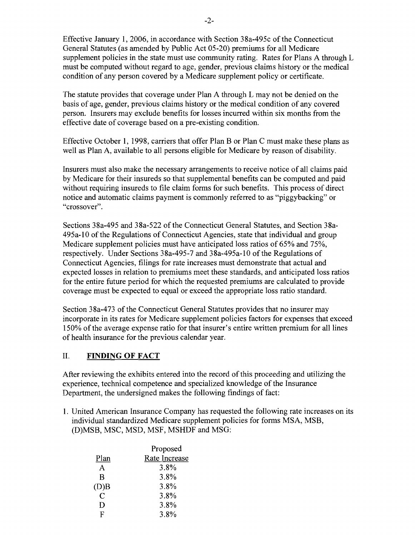Effective January **1,2006,** in accordance with Section 38a-495c ofthe Connecticut General Statutes (as amended by Public Act 05-20) premiums for all Medicare supplement policies in the state must use community rating. Rates for Plans A through L must be computed without regard to age, gender, previous claims history or the medical condition of any person covered by a Medicare supplement policy or certificate.

The statute provides that coverage under Plan A through L may not be denied on the basis of age, gender, previous claims history or the medical condition of any covered person. Insurers may exclude benefits for losses incurred within six months from the effective date of coverage based on a pre-existing condition.

Effective October 1, 1998, carriers that offer Plan B or Plan C must make these plans as well as Plan A, available to all persons eligible for Medicare by reason of disability.

Insurers must also make the necessary arrangements to receive notice of all claims paid by Medicare for their insureds so that supplemental benefits can be computed and paid without requiring insureds to file claim forms for such benefits. This process of direct notice and automatic claims payment is commonly referred to as "piggybacking" or "crossover".

Sections 38a-495 and 38a-522 of the Connecticut General Statutes, and Section 38a-495a-l0 of the Regulations of Connecticut Agencies, state that individual and group Medicare supplement policies must have anticipated loss ratios of 65% and 75%, respectively. Under Sections 38a-495-7 and 38a-495a-10 of the Regulations of Connecticut Agencies, filings for rate increases must demonstrate that actual and expected losses in relation to premiums meet these standards, and anticipated loss ratios for the entire future period for which the requested premiums are calculated to provide coverage must be expected to equal or exceed the appropriate loss ratio standard.

Section 38a-473 of the Connecticut General Statutes provides that no insurer may incorporate in its rates for Medicare supplement policies factors for expenses that exceed 150% of the average expense ratio for that insurer's entire written premium for all lines of health insurance for the previous calendar year.

### II. **FINDING OF FACT**

After reviewing the exhibits entered into the record ofthis proceeding and utilizing the experience, technical competence and specialized knowledge of the Insurance Department, the undersigned makes the following findings of fact:

1. United American Insurance Company has requested the following rate increases on its individual standardized Medicare supplement policies for forms MSA, MSB, (D)MSB, MSC, MSD, MSF, MSHDF and MSG:

|      | Proposed      |  |
|------|---------------|--|
| Plan | Rate Increase |  |
| A    | 3.8%          |  |
| B    | 3.8%          |  |
| (D)B | 3.8%          |  |
| C    | 3.8%          |  |
| Ð    | 3.8%          |  |
| F    | 3.8%          |  |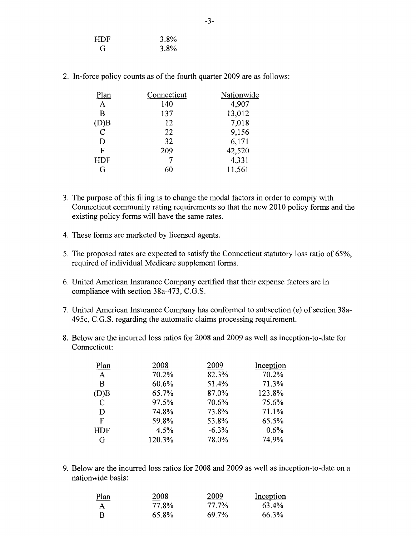| HDF | $3.8\%$ |
|-----|---------|
| G   | $3.8\%$ |

2. In-force policy counts as of the fourth quarter 2009 are as follows:

| Plan           | Connecticut | Nationwide |
|----------------|-------------|------------|
| $\mathbf{A}$   | 140         | 4,907      |
| B              | 137         | 13,012     |
| (D)B           | 12          | 7,018      |
| $\overline{C}$ | 22          | 9,156      |
| D              | 32          | 6,171      |
| F              | 209         | 42,520     |
| <b>HDF</b>     |             | 4,331      |
| G              |             | 11,561     |

- 3. The purpose of this filing is to change the modal factors in order to comply with Connecticut community rating requirements so that the new 2010 policy forms and the existing policy forms will have the same rates.
- 4. These forms are marketed by licensed agents.
- 5. The proposed rates are expected to satisfy the Connecticut statutory loss ratio of 65%, required of individual Medicare supplement forms.
- 6. United American Insurance Company certified that their expense factors are in compliance with section 38a-473, C.G.S.
- 7. United American Insurance Company has conformed to subsection (e) of section 38a-495c, C.G.S. regarding the automatic claims processing requirement.
- 8. Below are the incurred loss ratios for 2008 and 2009 as well as inception-to-date for Connecticut:

| 2008<br>2009<br>Plan          | Inception |
|-------------------------------|-----------|
| 70.2%<br>82.3%<br>A           | 70.2%     |
| 60.6%<br>51.4%<br>B           | 71.3%     |
| 87.0%<br>65.7%<br>(D)B        | 123.8%    |
| 70.6%<br>97.5%<br>$\mathbf C$ | 75.6%     |
| 73.8%<br>74.8%<br>D           | 71.1%     |
| 59.8%<br>53.8%<br>$\mathbf F$ | 65.5%     |
| 4.5%<br>$-6.3%$<br><b>HDF</b> | 0.6%      |
| 120.3%<br>78.0%<br>G          | 74.9%     |

9. Below are the incurred loss ratios for 2008 and 2009 as well as inception-to-date on a nationwide basis:

| <u>Plan</u>  | 2008  | 2009  | Inception |
|--------------|-------|-------|-----------|
| $\mathbf{A}$ | 77.8% | 77.7% | 63.4%     |
| - B          | 65.8% | 69.7% | 66.3%     |